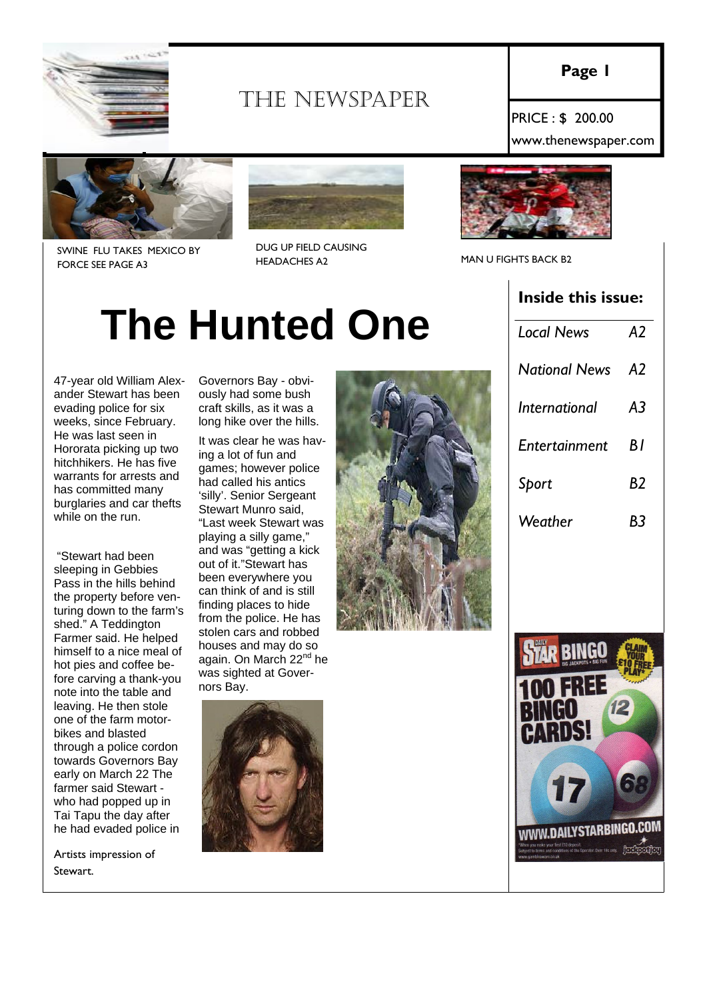

# THE NEWSPAPER

**Page 1** 

PRICE : \$ 200.00 www.thenewspaper.com



SWINE FLU TAKES MEXICO BY FORCE SEE PAGE A3



DUG UP FIELD CAUSING HEADACHES A2 MAN U FIGHTS BACK B2



#### **Inside this issue:**

| <b>Local News</b>    | A <sub>2</sub> |
|----------------------|----------------|
| <b>National News</b> | A2             |
| International        | A3             |
| Entertainment        | ΒI             |
| Sport                | B2             |
| Weather              | B٢             |

# **The Hunted One**

47-year old William Alexander Stewart has been evading police for six weeks, since February. He was last seen in Hororata picking up two hitchhikers. He has five warrants for arrests and has committed many burglaries and car thefts while on the run.

 "Stewart had been sleeping in Gebbies Pass in the hills behind the property before venturing down to the farm's shed." A Teddington Farmer said. He helped himself to a nice meal of hot pies and coffee before carving a thank-you note into the table and leaving. He then stole one of the farm motorbikes and blasted through a police cordon towards Governors Bay early on March 22 The farmer said Stewart who had popped up in Tai Tapu the day after he had evaded police in

Artists impression of Stewart.

Governors Bay - obviously had some bush craft skills, as it was a long hike over the hills.

It was clear he was having a lot of fun and games; however police had called his antics 'silly'. Senior Sergeant Stewart Munro said, "Last week Stewart was playing a silly game," and was "getting a kick out of it."Stewart has been everywhere you can think of and is still finding places to hide from the police. He has stolen cars and robbed houses and may do so again. On March 22<sup>nd</sup> he was sighted at Governors Bay.



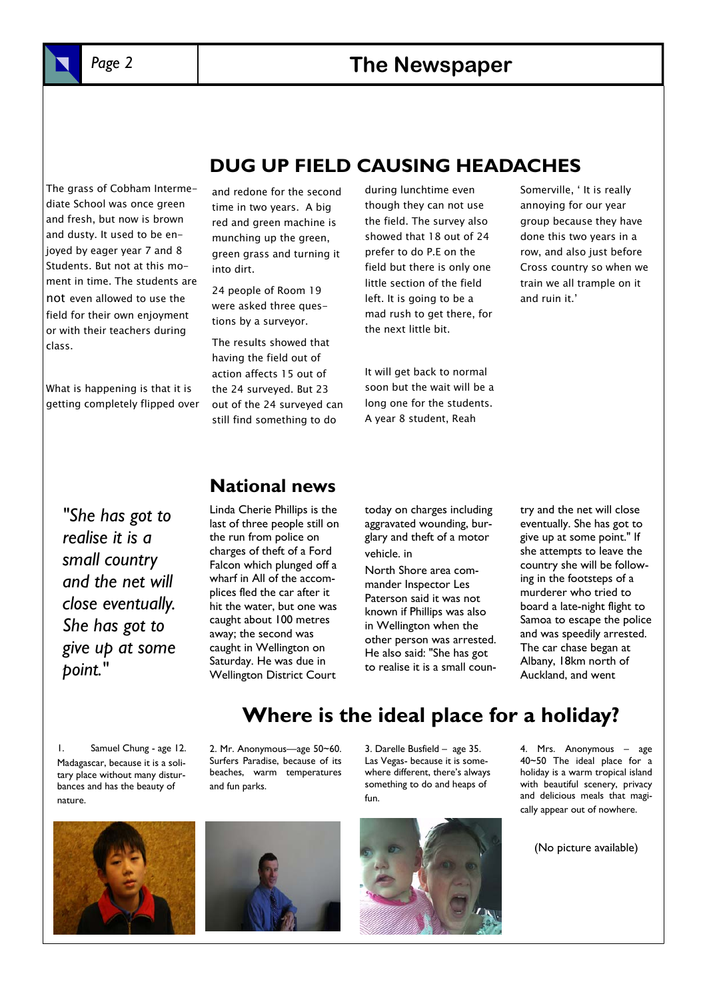

## *Page 2* **The Newspaper**

The grass of Cobham Intermediate School was once green and fresh, but now is brown and dusty. It used to be enjoyed by eager year 7 and 8 Students. But not at this moment in time. The students are not even allowed to use the field for their own enjoyment or with their teachers during class.

What is happening is that it is getting completely flipped over and redone for the second time in two years. A big red and green machine is munching up the green, green grass and turning it into dirt.

24 people of Room 19 were asked three questions by a surveyor.

The results showed that having the field out of action affects 15 out of the 24 surveyed. But 23 out of the 24 surveyed can still find something to do

during lunchtime even though they can not use the field. The survey also showed that 18 out of 24 prefer to do P.E on the field but there is only one little section of the field left. It is going to be a mad rush to get there, for the next little bit.

**DUG UP FIELD CAUSING HEADACHES** 

It will get back to normal soon but the wait will be a long one for the students. A year 8 student, Reah

Somerville, ' It is really annoying for our year group because they have done this two years in a row, and also just before Cross country so when we train we all trample on it and ruin it.'

*"She has got to realise it is a small country and the net will close eventually. She has got to give up at some point."* 

#### **National news**

Linda Cherie Phillips is the last of three people still on the run from police on charges of theft of a Ford Falcon which plunged off a wharf in All of the accomplices fled the car after it hit the water, but one was caught about 100 metres away; the second was caught in Wellington on Saturday. He was due in Wellington District Court

today on charges including aggravated wounding, burglary and theft of a motor vehicle. in

North Shore area commander Inspector Les Paterson said it was not known if Phillips was also in Wellington when the other person was arrested. He also said: "She has got to realise it is a small coun-

try and the net will close eventually. She has got to give up at some point." If she attempts to leave the country she will be following in the footsteps of a murderer who tried to board a late-night flight to Samoa to escape the police and was speedily arrested. The car chase began at Albany, 18km north of Auckland, and went

1. Samuel Chung - age 12. Madagascar, because it is a solitary place without many disturbances and has the beauty of nature.

2. Mr. Anonymous—age 50~60. Surfers Paradise, because of its beaches, warm temperatures and fun parks.





3. Darelle Busfield – age 35. Las Vegas- because it is somewhere different, there's always something to do and heaps of fun.

**Where is the ideal place for a holiday?** 



4. Mrs. Anonymous – age 40~50 The ideal place for a holiday is a warm tropical island with beautiful scenery, privacy and delicious meals that magically appear out of nowhere.

(No picture available)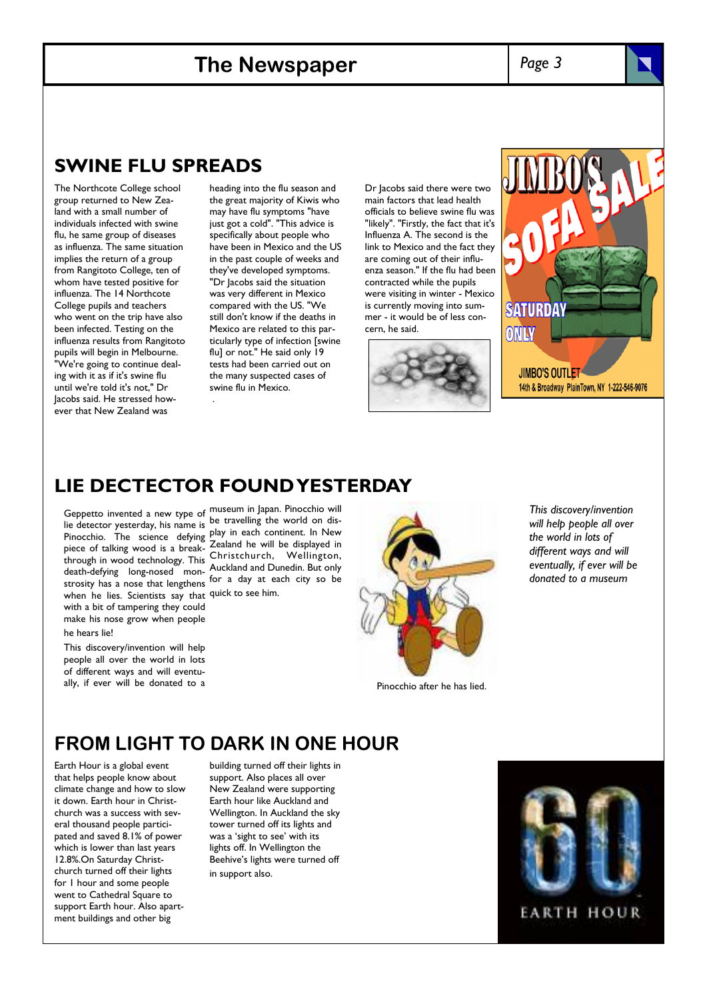#### **The Newspaper**

*Page 3* 

#### **SWINE FLU SPREADS**

The Northcote College school group returned to New Zealand with a small number of individuals infected with swine flu, he same group of diseases as influenza. The same situation implies the return of a group from Rangitoto College, ten of whom have tested positive for influenza. The 14 Northcote College pupils and teachers who went on the trip have also been infected. Testing on the influenza results from Rangitoto pupils will begin in Melbourne. "We're going to continue dealing with it as if it's swine flu until we're told it's not," Dr Jacobs said. He stressed however that New Zealand was

heading into the flu season and the great majority of Kiwis who may have flu symptoms "have just got a cold". "This advice is specifically about people who have been in Mexico and the US in the past couple of weeks and they've developed symptoms. "Dr Jacobs said the situation was very different in Mexico compared with the US. "We still don't know if the deaths in Mexico are related to this particularly type of infection [swine flu] or not." He said only 19 tests had been carried out on the many suspected cases of swine flu in Mexico.

Dr Jacobs said there were two main factors that lead health officials to believe swine flu was "likely". "Firstly, the fact that it's Influenza A. The second is the link to Mexico and the fact they are coming out of their influenza season." If the flu had been contracted while the pupils were visiting in winter - Mexico is currently moving into summer - it would be of less concern, he said.





#### **LIE DECTECTOR FOUND YESTERDAY**

.

lie detector yesterday, his name is be travelling the world on dis-Pinocchio. The science defying piece of talking wood is a breakthrough in wood technology. This death-defying long-nosed monstrosity has a nose that lengthens when he lies. Scientists say that quick to see him. with a bit of tampering they could make his nose grow when people he hears lie!

This discovery/invention will help people all over the world in lots of different ways and will eventually, if ever will be donated to a

Geppetto invented a new type of museum in Japan. Pinocchio will play in each continent. In New Zealand he will be displayed in Christchurch, Wellington, Auckland and Dunedin. But only for a day at each city so be



*This discovery/invention will help people all over the world in lots of different ways and will eventually, if ever will be donated to a museum* 

Pinocchio after he has lied.

#### **FROM LIGHT TO DARK IN ONE HOUR**

Earth Hour is a global event that helps people know about climate change and how to slow it down. Earth hour in Christchurch was a success with several thousand people participated and saved 8.1% of power which is lower than last years 12.8%.On Saturday Christchurch turned off their lights for 1 hour and some people went to Cathedral Square to support Earth hour. Also apartment buildings and other big

building turned off their lights in support. Also places all over New Zealand were supporting Earth hour like Auckland and Wellington. In Auckland the sky tower turned off its lights and was a 'sight to see' with its lights off. In Wellington the Beehive's lights were turned off in support also.

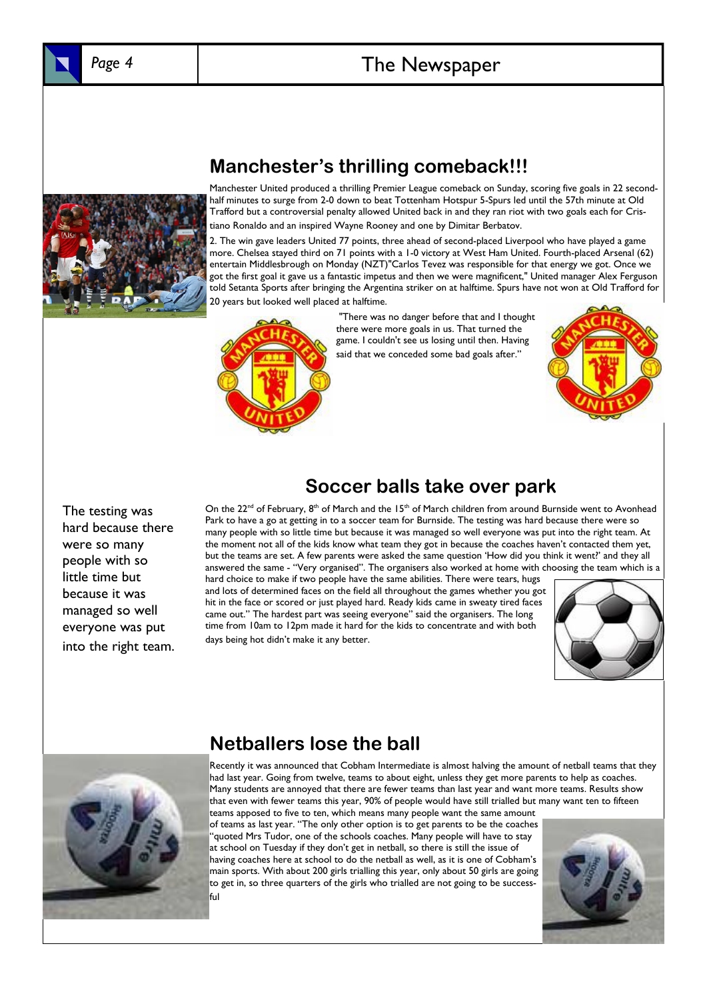

# *Page 4* The Newspaper



**Manchester's thrilling comeback!!!** 

Manchester United produced a thrilling Premier League comeback on Sunday, scoring five goals in 22 secondhalf minutes to surge from 2-0 down to beat Tottenham Hotspur 5-Spurs led until the 57th minute at Old Trafford but a controversial penalty allowed United back in and they ran riot with two goals each for Cristiano Ronaldo and an inspired Wayne Rooney and one by Dimitar Berbatov.

2. The win gave leaders United 77 points, three ahead of second-placed Liverpool who have played a game more. Chelsea stayed third on 71 points with a 1-0 victory at West Ham United. Fourth-placed Arsenal (62) entertain Middlesbrough on Monday (NZT)"Carlos Tevez was responsible for that energy we got. Once we got the first goal it gave us a fantastic impetus and then we were magnificent," United manager Alex Ferguson told Setanta Sports after bringing the Argentina striker on at halftime. Spurs have not won at Old Trafford for 20 years but looked well placed at halftime.



 "There was no danger before that and I thought there were more goals in us. That turned the game. I couldn't see us losing until then. Having said that we conceded some bad goals after."



The testing was hard because there were so many people with so little time but because it was managed so well everyone was put into the right team.

#### **Soccer balls take over park**

On the  $22^{nd}$  of February, 8<sup>th</sup> of March and the 15<sup>th</sup> of March children from around Burnside went to Avonhead Park to have a go at getting in to a soccer team for Burnside. The testing was hard because there were so many people with so little time but because it was managed so well everyone was put into the right team. At the moment not all of the kids know what team they got in because the coaches haven't contacted them yet, but the teams are set. A few parents were asked the same question 'How did you think it went?' and they all answered the same - "Very organised". The organisers also worked at home with choosing the team which is a

hard choice to make if two people have the same abilities. There were tears, hugs and lots of determined faces on the field all throughout the games whether you got hit in the face or scored or just played hard. Ready kids came in sweaty tired faces came out." The hardest part was seeing everyone" said the organisers. The long time from 10am to 12pm made it hard for the kids to concentrate and with both days being hot didn't make it any better.





**Netballers lose the ball** 

Recently it was announced that Cobham Intermediate is almost halving the amount of netball teams that they had last year. Going from twelve, teams to about eight, unless they get more parents to help as coaches. Many students are annoyed that there are fewer teams than last year and want more teams. Results show that even with fewer teams this year, 90% of people would have still trialled but many want ten to fifteen teams apposed to five to ten, which means many people want the same amount

of teams as last year. "The only other option is to get parents to be the coaches "quoted Mrs Tudor, one of the schools coaches. Many people will have to stay at school on Tuesday if they don't get in netball, so there is still the issue of having coaches here at school to do the netball as well, as it is one of Cobham's main sports. With about 200 girls trialling this year, only about 50 girls are going to get in, so three quarters of the girls who trialled are not going to be successful

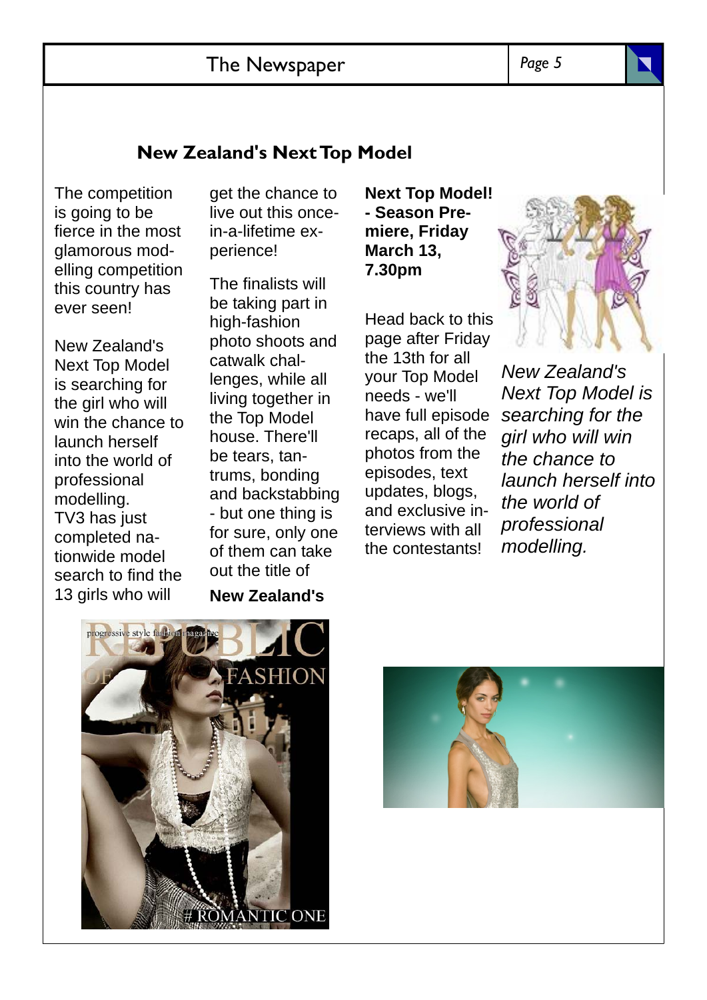### The Newspaper

#### *Page 5*

#### **New Zealand's Next Top Model**

The competition is going to be fierce in the most glamorous modelling competition this country has ever seen!

New Zealand's Next Top Model is searching for the girl who will win the chance to launch herself into the world of professional modelling. TV3 has just completed nationwide model search to find the 13 girls who will

get the chance to live out this oncein-a-lifetime experience!

The finalists will be taking part in high-fashion photo shoots and catwalk challenges, while all living together in the Top Model house. There'll be tears, tantrums, bonding and backstabbing - but one thing is for sure, only one of them can take out the title of **New Zealand's** 

**Next Top Model! - Season Premiere, Friday March 13, 7.30pm** 

Head back to this page after Friday the 13th for all your Top Model needs - we'll have full episode recaps, all of the photos from the episodes, text updates, blogs, and exclusive interviews with all the contestants!



*New Zealand's Next Top Model is searching for the girl who will win the chance to launch herself into the world of professional modelling.* 

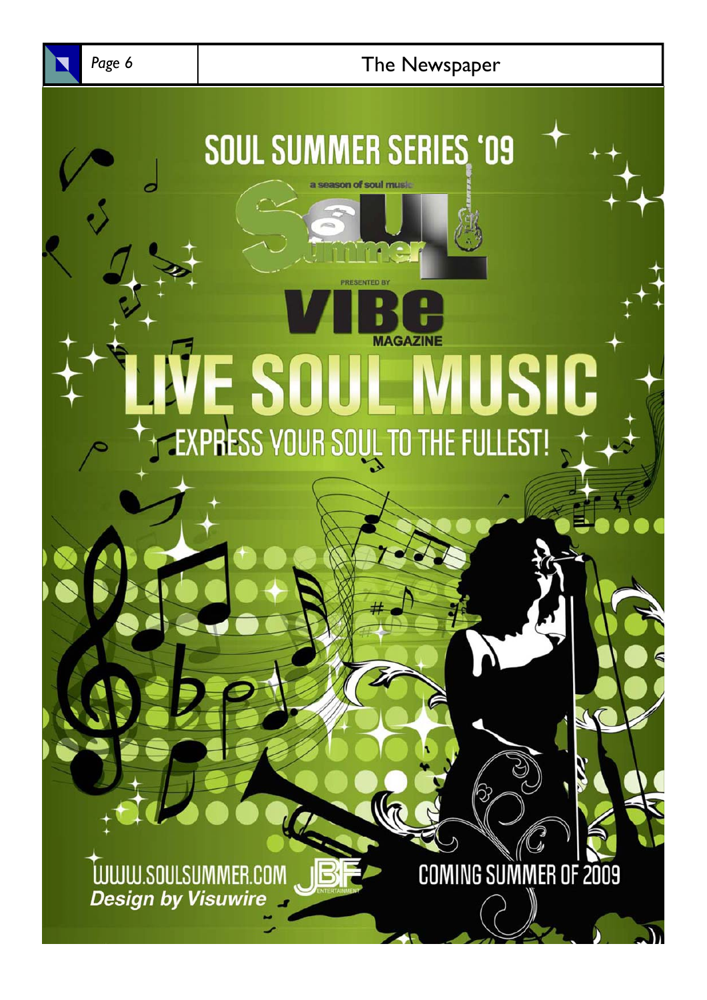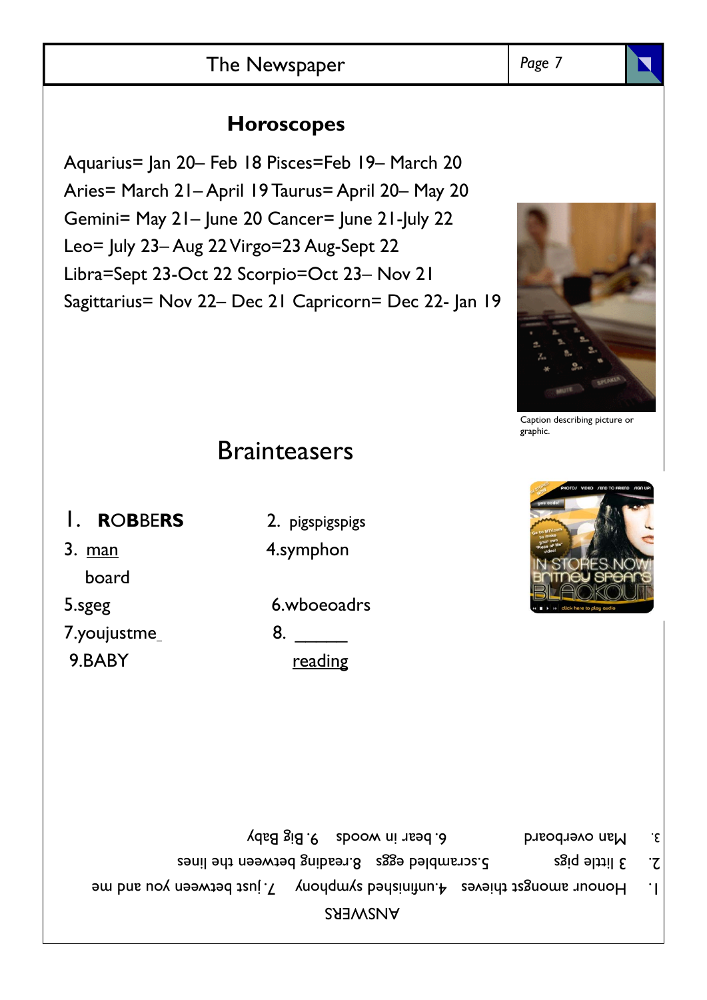# The Newspaper **Page 7** Page 7

# **Horoscopes**

Aquarius= Jan 20– Feb 18 Pisces=Feb 19– March 20 Aries= March 21– April 19 Taurus= April 20– May 20 Gemini= May 21– June 20 Cancer= June 21-July 22 Leo= July 23– Aug 22 Virgo=23 Aug-Sept 22 Libra=Sept 23-Oct 22 Scorpio=Oct 23– Nov 21 Sagittarius= Nov 22– Dec 21 Capricorn= Dec 22- Jan 19

# **Brainteasers**

- 1. **R**O**B**BE**RS** 2. pigspigspigs
- 3. man 4.symphon board
- 

7.youjustme\_ 8. \_\_\_\_\_\_\_\_ 9.BABY reading

5.sgeg 6.wboeoadrs

- Man overboard 6. bear in woods 9. Big Baby 3.
- 2. 3 little pigs 5. Sali between the lines
- 1. Honour amongst that a 4.unfinished symphony 7. just between you and me

ANSWERS





Caption describing picture or graphic.